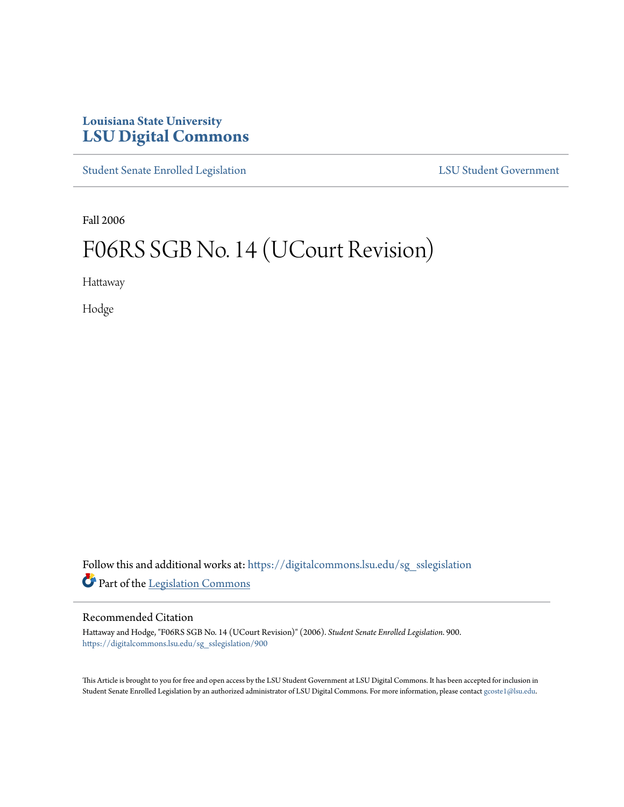## **Louisiana State University [LSU Digital Commons](https://digitalcommons.lsu.edu?utm_source=digitalcommons.lsu.edu%2Fsg_sslegislation%2F900&utm_medium=PDF&utm_campaign=PDFCoverPages)**

[Student Senate Enrolled Legislation](https://digitalcommons.lsu.edu/sg_sslegislation?utm_source=digitalcommons.lsu.edu%2Fsg_sslegislation%2F900&utm_medium=PDF&utm_campaign=PDFCoverPages) [LSU Student Government](https://digitalcommons.lsu.edu/sg?utm_source=digitalcommons.lsu.edu%2Fsg_sslegislation%2F900&utm_medium=PDF&utm_campaign=PDFCoverPages)

Fall 2006

## F06RS SGB No. 14 (UCourt Revision)

Hattaway

Hodge

Follow this and additional works at: [https://digitalcommons.lsu.edu/sg\\_sslegislation](https://digitalcommons.lsu.edu/sg_sslegislation?utm_source=digitalcommons.lsu.edu%2Fsg_sslegislation%2F900&utm_medium=PDF&utm_campaign=PDFCoverPages) Part of the [Legislation Commons](http://network.bepress.com/hgg/discipline/859?utm_source=digitalcommons.lsu.edu%2Fsg_sslegislation%2F900&utm_medium=PDF&utm_campaign=PDFCoverPages)

## Recommended Citation

Hattaway and Hodge, "F06RS SGB No. 14 (UCourt Revision)" (2006). *Student Senate Enrolled Legislation*. 900. [https://digitalcommons.lsu.edu/sg\\_sslegislation/900](https://digitalcommons.lsu.edu/sg_sslegislation/900?utm_source=digitalcommons.lsu.edu%2Fsg_sslegislation%2F900&utm_medium=PDF&utm_campaign=PDFCoverPages)

This Article is brought to you for free and open access by the LSU Student Government at LSU Digital Commons. It has been accepted for inclusion in Student Senate Enrolled Legislation by an authorized administrator of LSU Digital Commons. For more information, please contact [gcoste1@lsu.edu.](mailto:gcoste1@lsu.edu)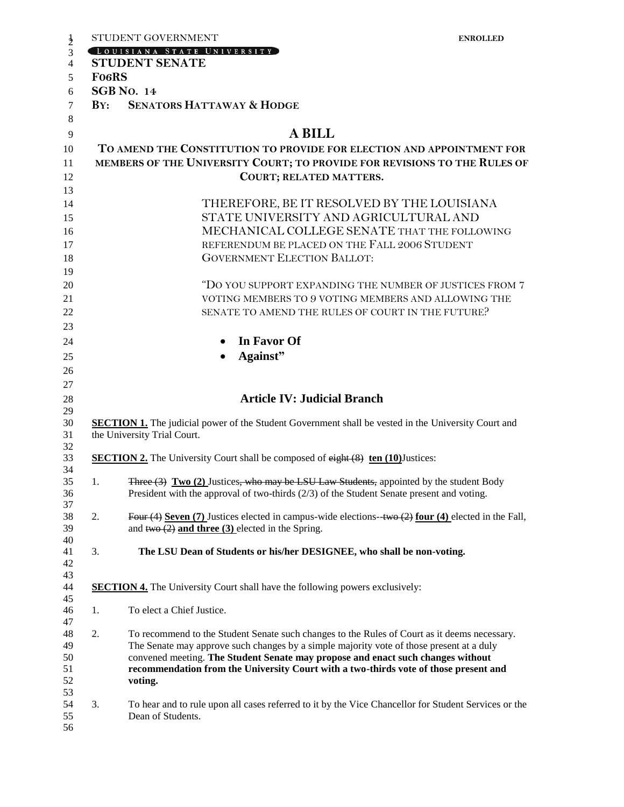|                                            | STUDENT GOVERNMENT<br><b>ENROLLED</b>                                                                                                                                   |
|--------------------------------------------|-------------------------------------------------------------------------------------------------------------------------------------------------------------------------|
|                                            | LOUISIANA STATE UNIVERSITY                                                                                                                                              |
|                                            | <b>STUDENT SENATE</b>                                                                                                                                                   |
| <b>FO6RS</b>                               |                                                                                                                                                                         |
|                                            | <b>SGB No. 14</b><br><b>SENATORS HATTAWAY &amp; HODGE</b>                                                                                                               |
| $\mathbf{B} \mathbf{Y}$ :                  |                                                                                                                                                                         |
|                                            | <b>A BILL</b>                                                                                                                                                           |
|                                            | TO AMEND THE CONSTITUTION TO PROVIDE FOR ELECTION AND APPOINTMENT FOR                                                                                                   |
|                                            | MEMBERS OF THE UNIVERSITY COURT; TO PROVIDE FOR REVISIONS TO THE RULES OF                                                                                               |
|                                            | COURT; RELATED MATTERS.                                                                                                                                                 |
|                                            |                                                                                                                                                                         |
| THEREFORE, BE IT RESOLVED BY THE LOUISIANA |                                                                                                                                                                         |
| STATE UNIVERSITY AND AGRICULTURAL AND      |                                                                                                                                                                         |
|                                            | MECHANICAL COLLEGE SENATE THAT THE FOLLOWING                                                                                                                            |
|                                            | REFERENDUM BE PLACED ON THE FALL 2006 STUDENT                                                                                                                           |
|                                            | <b>GOVERNMENT ELECTION BALLOT:</b>                                                                                                                                      |
|                                            |                                                                                                                                                                         |
|                                            | "DO YOU SUPPORT EXPANDING THE NUMBER OF JUSTICES FROM 7                                                                                                                 |
|                                            | VOTING MEMBERS TO 9 VOTING MEMBERS AND ALLOWING THE                                                                                                                     |
|                                            | SENATE TO AMEND THE RULES OF COURT IN THE FUTURE?                                                                                                                       |
|                                            |                                                                                                                                                                         |
|                                            | In Favor Of                                                                                                                                                             |
|                                            | Against"                                                                                                                                                                |
|                                            |                                                                                                                                                                         |
|                                            | <b>Article IV: Judicial Branch</b>                                                                                                                                      |
|                                            |                                                                                                                                                                         |
|                                            |                                                                                                                                                                         |
|                                            | <b>SECTION 1.</b> The judicial power of the Student Government shall be vested in the University Court and                                                              |
|                                            | the University Trial Court.                                                                                                                                             |
|                                            | <b>SECTION 2.</b> The University Court shall be composed of eight (8) ten (10) Justices:                                                                                |
|                                            |                                                                                                                                                                         |
| 1.                                         | Three (3) Two (2) Justices, who may be LSU Law Students, appointed by the student Body                                                                                  |
|                                            | President with the approval of two-thirds $(2/3)$ of the Student Senate present and voting.                                                                             |
| 2.                                         | Four (4) Seven (7) Justices elected in campus-wide elections-two $(2)$ four (4) elected in the Fall,                                                                    |
|                                            | and $t_{w0}(2)$ and three (3) elected in the Spring.                                                                                                                    |
| 3.                                         | The LSU Dean of Students or his/her DESIGNEE, who shall be non-voting.                                                                                                  |
|                                            |                                                                                                                                                                         |
|                                            |                                                                                                                                                                         |
|                                            | <b>SECTION 4.</b> The University Court shall have the following powers exclusively:                                                                                     |
| 1.                                         | To elect a Chief Justice.                                                                                                                                               |
|                                            |                                                                                                                                                                         |
| 2.                                         | To recommend to the Student Senate such changes to the Rules of Court as it deems necessary.                                                                            |
|                                            | The Senate may approve such changes by a simple majority vote of those present at a duly                                                                                |
|                                            | convened meeting. The Student Senate may propose and enact such changes without<br>recommendation from the University Court with a two-thirds vote of those present and |
|                                            | voting.                                                                                                                                                                 |
|                                            |                                                                                                                                                                         |
| 3.                                         | To hear and to rule upon all cases referred to it by the Vice Chancellor for Student Services or the<br>Dean of Students.                                               |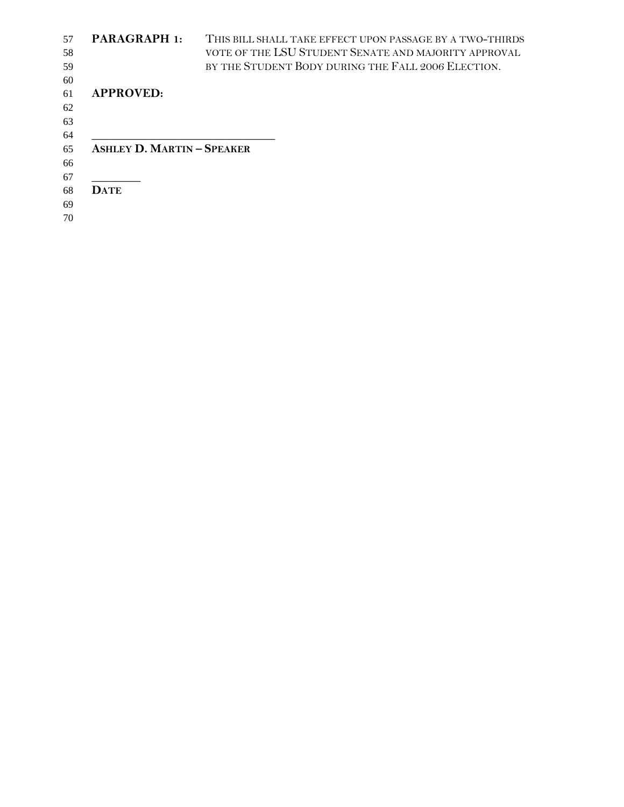| 57 | <b>PARAGRAPH 1:</b>               | THIS BILL SHALL TAKE EFFECT UPON PASSAGE BY A TWO-THIRDS |
|----|-----------------------------------|----------------------------------------------------------|
| 58 |                                   | VOTE OF THE LSU STUDENT SENATE AND MAJORITY APPROVAL     |
| 59 |                                   | BY THE STUDENT BODY DURING THE FALL 2006 ELECTION.       |
| 60 |                                   |                                                          |
| 61 | <b>APPROVED:</b>                  |                                                          |
| 62 |                                   |                                                          |
| 63 |                                   |                                                          |
| 64 |                                   |                                                          |
| 65 | <b>ASHLEY D. MARTIN - SPEAKER</b> |                                                          |
| 66 |                                   |                                                          |
| 67 |                                   |                                                          |
| 68 | <b>DATE</b>                       |                                                          |
| 69 |                                   |                                                          |
| 70 |                                   |                                                          |